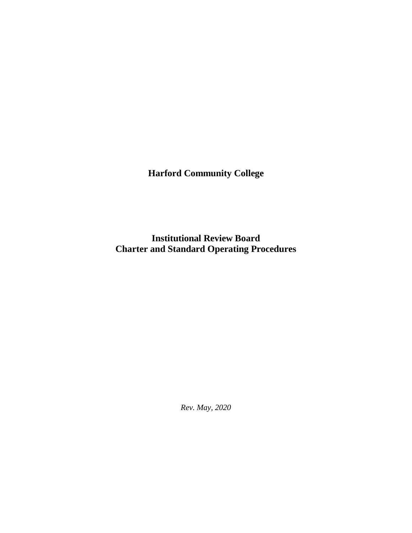**Harford Community College**

**Institutional Review Board Charter and Standard Operating Procedures**

*Rev. May, 2020*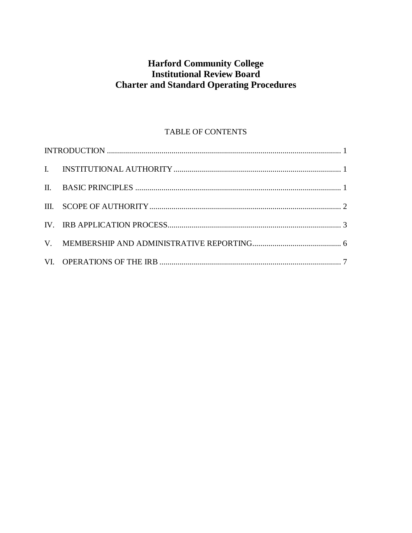# **Harford Community College Institutional Review Board Charter and Standard Operating Procedures**

# TABLE OF CONTENTS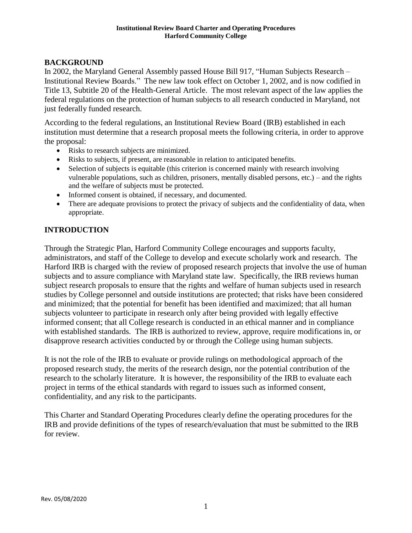# **BACKGROUND**

In 2002, the Maryland General Assembly passed House Bill 917, "Human Subjects Research – Institutional Review Boards." The new law took effect on October 1, 2002, and is now codified in Title 13, Subtitle 20 of the Health-General Article. The most relevant aspect of the law applies the federal regulations on the protection of human subjects to all research conducted in Maryland, not just federally funded research.

According to the federal regulations, an Institutional Review Board (IRB) established in each institution must determine that a research proposal meets the following criteria, in order to approve the proposal:

- Risks to research subjects are minimized.
- Risks to subjects, if present, are reasonable in relation to anticipated benefits.
- Selection of subjects is equitable (this criterion is concerned mainly with research involving vulnerable populations, such as children, prisoners, mentally disabled persons, etc.) – and the rights and the welfare of subjects must be protected.
- Informed consent is obtained, if necessary, and documented.
- There are adequate provisions to protect the privacy of subjects and the confidentiality of data, when appropriate.

## <span id="page-2-0"></span>**INTRODUCTION**

Through the Strategic Plan, Harford Community College encourages and supports faculty, administrators, and staff of the College to develop and execute scholarly work and research. The Harford IRB is charged with the review of proposed research projects that involve the use of human subjects and to assure compliance with Maryland state law. Specifically, the IRB reviews human subject research proposals to ensure that the rights and welfare of human subjects used in research studies by College personnel and outside institutions are protected; that risks have been considered and minimized; that the potential for benefit has been identified and maximized; that all human subjects volunteer to participate in research only after being provided with legally effective informed consent; that all College research is conducted in an ethical manner and in compliance with established standards. The IRB is authorized to review, approve, require modifications in, or disapprove research activities conducted by or through the College using human subjects.

It is not the role of the IRB to evaluate or provide rulings on methodological approach of the proposed research study, the merits of the research design, nor the potential contribution of the research to the scholarly literature. It is however, the responsibility of the IRB to evaluate each project in terms of the ethical standards with regard to issues such as informed consent, confidentiality, and any risk to the participants.

This Charter and Standard Operating Procedures clearly define the operating procedures for the IRB and provide definitions of the types of research/evaluation that must be submitted to the IRB for review.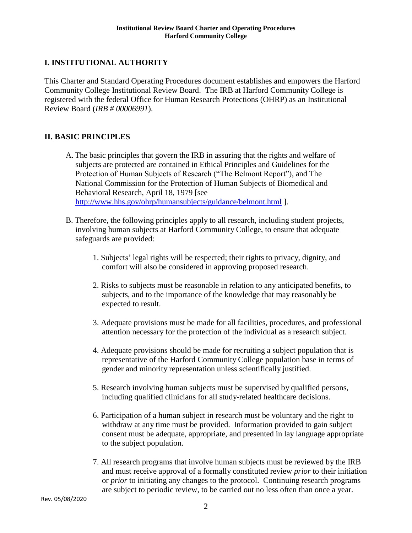# <span id="page-3-0"></span>**I. INSTITUTIONAL AUTHORITY**

This Charter and Standard Operating Procedures document establishes and empowers the Harford Community College Institutional Review Board. The IRB at Harford Community College is registered with the federal Office for Human Research Protections (OHRP) as an Institutional Review Board (*IRB # 00006991*).

### <span id="page-3-1"></span>**II. BASIC PRINCIPLES**

- A. The basic principles that govern the IRB in assuring that the rights and welfare of subjects are protected are contained in Ethical Principles and Guidelines for the Protection of Human Subjects of Research ("The Belmont Report"), and The National Commission for the Protection of Human Subjects of Biomedical and Behavioral Research, April 18, 1979 [see <http://www.hhs.gov/ohrp/humansubjects/guidance/belmont.html> ].
- B. Therefore, the following principles apply to all research, including student projects, involving human subjects at Harford Community College, to ensure that adequate safeguards are provided:
	- 1. Subjects' legal rights will be respected; their rights to privacy, dignity, and comfort will also be considered in approving proposed research.
	- 2. Risks to subjects must be reasonable in relation to any anticipated benefits, to subjects, and to the importance of the knowledge that may reasonably be expected to result.
	- 3. Adequate provisions must be made for all facilities, procedures, and professional attention necessary for the protection of the individual as a research subject.
	- 4. Adequate provisions should be made for recruiting a subject population that is representative of the Harford Community College population base in terms of gender and minority representation unless scientifically justified.
	- 5. Research involving human subjects must be supervised by qualified persons, including qualified clinicians for all study-related healthcare decisions.
	- 6. Participation of a human subject in research must be voluntary and the right to withdraw at any time must be provided. Information provided to gain subject consent must be adequate, appropriate, and presented in lay language appropriate to the subject population.
	- 7. All research programs that involve human subjects must be reviewed by the IRB and must receive approval of a formally constituted review *prior* to their initiation or *prior* to initiating any changes to the protocol. Continuing research programs are subject to periodic review, to be carried out no less often than once a year.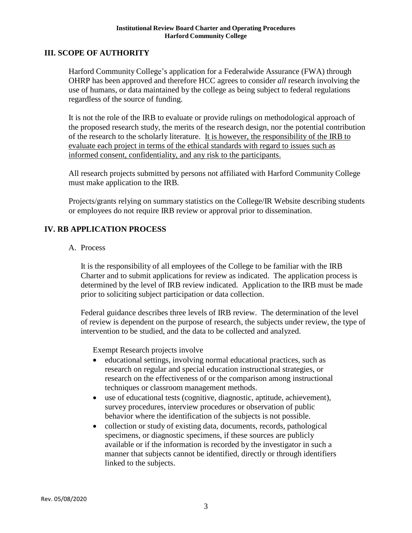#### <span id="page-4-0"></span>**III. SCOPE OF AUTHORITY**

Harford Community College's application for a Federalwide Assurance (FWA) through OHRP has been approved and therefore HCC agrees to consider *all* research involving the use of humans, or data maintained by the college as being subject to federal regulations regardless of the source of funding.

It is not the role of the IRB to evaluate or provide rulings on methodological approach of the proposed research study, the merits of the research design, nor the potential contribution of the research to the scholarly literature. It is however, the responsibility of the IRB to evaluate each project in terms of the ethical standards with regard to issues such as informed consent, confidentiality, and any risk to the participants.

All research projects submitted by persons not affiliated with Harford Community College must make application to the IRB.

Projects/grants relying on summary statistics on the College/IR Website describing students or employees do not require IRB review or approval prior to dissemination.

### **IV. RB APPLICATION PROCESS**

#### A. Process

It is the responsibility of all employees of the College to be familiar with the IRB Charter and to submit applications for review as indicated. The application process is determined by the level of IRB review indicated. Application to the IRB must be made prior to soliciting subject participation or data collection.

Federal guidance describes three levels of IRB review. The determination of the level of review is dependent on the purpose of research, the subjects under review, the type of intervention to be studied, and the data to be collected and analyzed.

Exempt Research projects involve

- educational settings, involving normal educational practices, such as research on regular and special education instructional strategies, or research on the effectiveness of or the comparison among instructional techniques or classroom management methods.
- use of educational tests (cognitive, diagnostic, aptitude, achievement), survey procedures, interview procedures or observation of public behavior where the identification of the subjects is not possible.
- collection or study of existing data, documents, records, pathological specimens, or diagnostic specimens, if these sources are publicly available or if the information is recorded by the investigator in such a manner that subjects cannot be identified, directly or through identifiers linked to the subjects.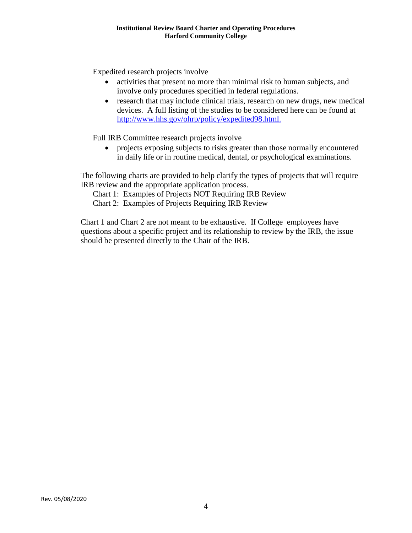Expedited research projects involve

- activities that present no more than minimal risk to human subjects, and involve only procedures specified in federal regulations.
- research that may include clinical trials, research on new drugs, new medical devices. A full listing of the studies to be considered here can be found at <http://www.hhs.gov/ohrp/policy/expedited98.html.>

Full IRB Committee research projects involve

• projects exposing subjects to risks greater than those normally encountered in daily life or in routine medical, dental, or psychological examinations.

The following charts are provided to help clarify the types of projects that will require IRB review and the appropriate application process.

Chart 1: Examples of Projects NOT Requiring IRB Review

Chart 2: Examples of Projects Requiring IRB Review

Chart 1 and Chart 2 are not meant to be exhaustive. If College employees have questions about a specific project and its relationship to review by the IRB, the issue should be presented directly to the Chair of the IRB.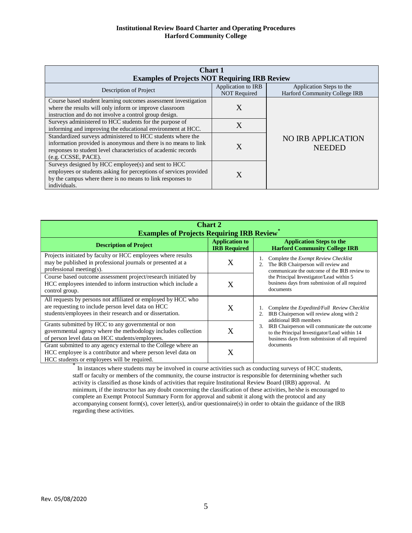#### **Institutional Review Board Charter and Operating Procedures Harford Community College**

| <b>Chart 1</b><br><b>Examples of Projects NOT Requiring IRB Review</b>                                                                                                                                                  |                                           |                                                           |  |  |  |
|-------------------------------------------------------------------------------------------------------------------------------------------------------------------------------------------------------------------------|-------------------------------------------|-----------------------------------------------------------|--|--|--|
| Description of Project                                                                                                                                                                                                  | Application to IRB<br><b>NOT Required</b> | Application Steps to the<br>Harford Community College IRB |  |  |  |
| Course based student learning outcomes assessment investigation<br>where the results will only inform or improve classroom<br>instruction and do not involve a control group design.                                    | X                                         |                                                           |  |  |  |
| Surveys administered to HCC students for the purpose of<br>informing and improving the educational environment at HCC.                                                                                                  | X                                         |                                                           |  |  |  |
| Standardized surveys administered to HCC students where the<br>information provided is anonymous and there is no means to link<br>responses to student level characteristics of academic records<br>(e.g. CCSSE, PACE). | X                                         | <b>NO IRB APPLICATION</b><br><b>NEEDED</b>                |  |  |  |
| Surveys designed by HCC employee(s) and sent to HCC<br>employees or students asking for perceptions of services provided<br>by the campus where there is no means to link responses to<br>individuals.                  | X                                         |                                                           |  |  |  |

| <b>Chart 2</b><br><b>Examples of Projects Requiring IRB Review</b> *                                                                                                             |                                              |                                                                                                                                                                                                                                              |  |  |  |
|----------------------------------------------------------------------------------------------------------------------------------------------------------------------------------|----------------------------------------------|----------------------------------------------------------------------------------------------------------------------------------------------------------------------------------------------------------------------------------------------|--|--|--|
| <b>Description of Project</b>                                                                                                                                                    | <b>Application to</b><br><b>IRB Required</b> | <b>Application Steps to the</b><br><b>Harford Community College IRB</b>                                                                                                                                                                      |  |  |  |
| Projects initiated by faculty or HCC employees where results<br>may be published in professional journals or presented at a<br>professional meeting(s).                          | Χ                                            | Complete the <i>Exempt Review Checklist</i><br>The IRB Chairperson will review and<br>communicate the outcome of the IRB review to<br>the Principal Investigator/Lead within 5<br>business days from submission of all required<br>documents |  |  |  |
| Course based outcome assessment project/research initiated by<br>HCC employees intended to inform instruction which include a<br>control group.                                  | X                                            |                                                                                                                                                                                                                                              |  |  |  |
| All requests by persons not affiliated or employed by HCC who<br>are requesting to include person level data on HCC<br>students/employees in their research and or dissertation. | Χ                                            | Complete the <i>Expedited/Full Review Checklist</i><br>IRB Chairperson will review along with 2<br>additional IRB members                                                                                                                    |  |  |  |
| Grants submitted by HCC to any governmental or non<br>governmental agency where the methodology includes collection<br>of person level data on HCC students/employees.           | Χ                                            | IRB Chairperson will communicate the outcome<br>3.<br>to the Principal Investigator/Lead within 14<br>business days from submission of all required                                                                                          |  |  |  |
| Grant submitted to any agency external to the College where an<br>HCC employee is a contributor and where person level data on<br>HCC students or employees will be required.    | X                                            | documents                                                                                                                                                                                                                                    |  |  |  |

\* In instances where students may be involved in course activities such as conducting surveys of HCC students, staff or faculty or members of the community, the course instructor is responsible for determining whether such activity is classified as those kinds of activities that require Institutional Review Board (IRB) approval. At minimum, if the instructor has any doubt concerning the classification of these activities, he/she is encouraged to complete an Exempt Protocol Summary Form for approval and submit it along with the protocol and any accompanying consent form(s), cover letter(s), and/or questionnaire(s) in order to obtain the guidance of the IRB regarding these activities.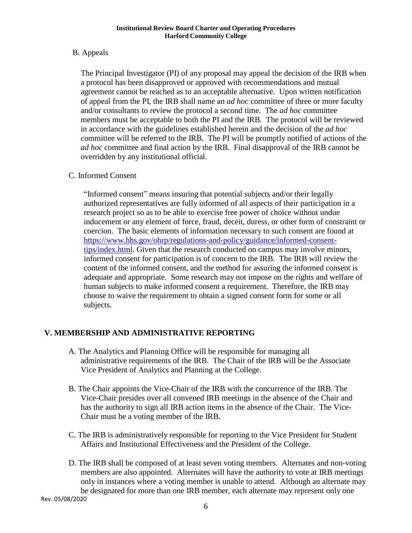## B. Appeals

The Principal Investigator (PI) of any proposal may appeal the decision of the IRB when a protocol has been disapproved or approved with recommendations and mutual agreement cannot be reached as to an acceptable alternative. Upon written notification of appeal from the PI, the IRB shall name an *ad hoc* committee of three or more faculty and/or consultants to review the protocol a second time. The *ad hoc* committee members must be acceptable to both the PI and the IRB. The protocol will be reviewed in accordance with the guidelines established herein and the decision of the *ad hoc*  committee will be referred to the IRB. The PI will be promptly notified of actions of the *ad hoc* committee and final action by the IRB. Final disapproval of the IRB cannot be overridden by any institutional official.

## C. Informed Consent

"Informed consent" means insuring that potential subjects and/or their legally authorized representatives are fully informed of all aspects of their participation in a research project so as to be able to exercise free power of choice without undue inducement or any element of force, fraud, deceit, duress, or other form of constraint or coercion. The basic elements of information necessary to such consent are found at [https://www.hhs.gov/ohrp/regulations-and-policy/guidance/informed-consent](https://www.hhs.gov/ohrp/regulations-and-policy/guidance/informed-consent-tips/index.html)[tips/index.html.](https://www.hhs.gov/ohrp/regulations-and-policy/guidance/informed-consent-tips/index.html) Given that the research conducted on campus may involve minors, informed consent for participation is of concern to the IRB. The IRB will review the content of the informed consent, and the method for assuring the informed consent is adequate and appropriate. Some research may not impose on the rights and welfare of human subjects to make informed consent a requirement. Therefore, the IRB may choose to waive the requirement to obtain a signed consent form for some or all subjects.

# <span id="page-7-0"></span>**V. MEMBERSHIP AND ADMINISTRATIVE REPORTING**

- A. The Analytics and Planning Office will be responsible for managing all administrative requirements of the IRB. The Chair of the IRB will be the Associate Vice President of Analytics and Planning at the College.
- B. The Chair appoints the Vice-Chair of the IRB with the concurrence of the IRB. The Vice-Chair presides over all convened IRB meetings in the absence of the Chair and has the authority to sign all IRB action items in the absence of the Chair. The Vice-Chair must be a voting member of the IRB.
- C. The IRB is administratively responsible for reporting to the Vice President for Student Affairs and Institutional Effectiveness and the President of the College.
- D. The IRB shall be composed of at least seven voting members. Alternates and non-voting members are also appointed. Alternates will have the authority to vote at IRB meetings only in instances where a voting member is unable to attend. Although an alternate may be designated for more than one IRB member, each alternate may represent only one

Rev. 05/08/2020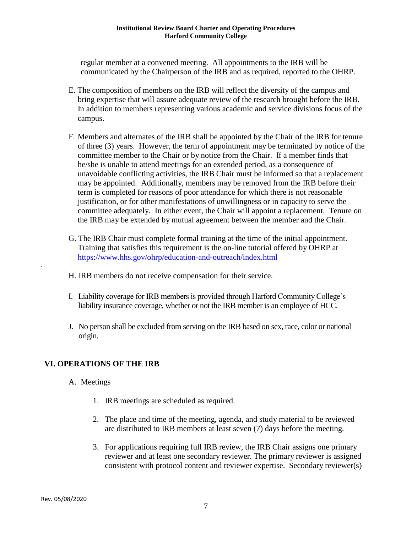#### **Institutional Review Board Charter and Operating Procedures Harford Community College**

regular member at a convened meeting. All appointments to the IRB will be communicated by the Chairperson of the IRB and as required, reported to the OHRP.

- E. The composition of members on the IRB will reflect the diversity of the campus and bring expertise that will assure adequate review of the research brought before the IRB. In addition to members representing various academic and service divisions focus of the campus.
- F. Members and alternates of the IRB shall be appointed by the Chair of the IRB for tenure of three (3) years. However, the term of appointment may be terminated by notice of the committee member to the Chair or by notice from the Chair. If a member finds that he/she is unable to attend meetings for an extended period, as a consequence of unavoidable conflicting activities, the IRB Chair must be informed so that a replacement may be appointed. Additionally, members may be removed from the IRB before their term is completed for reasons of poor attendance for which there is not reasonable justification, or for other manifestations of unwillingness or in capacity to serve the committee adequately. In either event, the Chair will appoint a replacement. Tenure on the IRB may be extended by mutual agreement between the member and the Chair.
- G. The IRB Chair must complete formal training at the time of the initial appointment. Training that satisfies this requirement is the on-line tutorial offered by OHRP at <https://www.hhs.gov/ohrp/education-and-outreach/index.html>
- H. IRB members do not receive compensation for their service.
- I. Liability coverage for IRB members is provided through Harford Community College's liability insurance coverage, whether or not the IRB member is an employee of HCC.
- J. No person shall be excluded from serving on the IRB based on sex, race, color or national origin.

### <span id="page-8-0"></span>**VI. OPERATIONS OF THE IRB**

- A. Meetings
	- 1. IRB meetings are scheduled as required.
	- 2. The place and time of the meeting, agenda, and study material to be reviewed are distributed to IRB members at least seven (7) days before the meeting.
	- 3. For applications requiring full IRB review, the IRB Chair assigns one primary reviewer and at least one secondary reviewer. The primary reviewer is assigned consistent with protocol content and reviewer expertise. Secondary reviewer(s)

.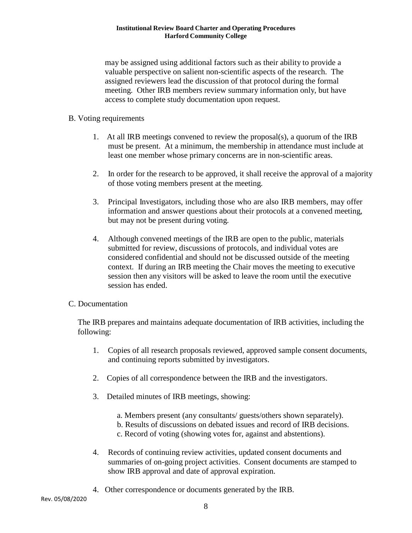#### **Institutional Review Board Charter and Operating Procedures Harford Community College**

may be assigned using additional factors such as their ability to provide a valuable perspective on salient non-scientific aspects of the research. The assigned reviewers lead the discussion of that protocol during the formal meeting. Other IRB members review summary information only, but have access to complete study documentation upon request.

#### B. Voting requirements

- 1. At all IRB meetings convened to review the proposal(s), a quorum of the IRB must be present. At a minimum, the membership in attendance must include at least one member whose primary concerns are in non-scientific areas.
- 2. In order for the research to be approved, it shall receive the approval of a majority of those voting members present at the meeting.
- 3. Principal Investigators, including those who are also IRB members, may offer information and answer questions about their protocols at a convened meeting, but may not be present during voting.
- 4. Although convened meetings of the IRB are open to the public, materials submitted for review, discussions of protocols, and individual votes are considered confidential and should not be discussed outside of the meeting context. If during an IRB meeting the Chair moves the meeting to executive session then any visitors will be asked to leave the room until the executive session has ended.

#### C. Documentation

The IRB prepares and maintains adequate documentation of IRB activities, including the following:

- 1. Copies of all research proposals reviewed, approved sample consent documents, and continuing reports submitted by investigators.
- 2. Copies of all correspondence between the IRB and the investigators.
- 3. Detailed minutes of IRB meetings, showing:
	- a. Members present (any consultants/ guests/others shown separately).
	- b. Results of discussions on debated issues and record of IRB decisions.
	- c. Record of voting (showing votes for, against and abstentions).
- 4. Records of continuing review activities, updated consent documents and summaries of on-going project activities. Consent documents are stamped to show IRB approval and date of approval expiration.
- 4. Other correspondence or documents generated by the IRB.